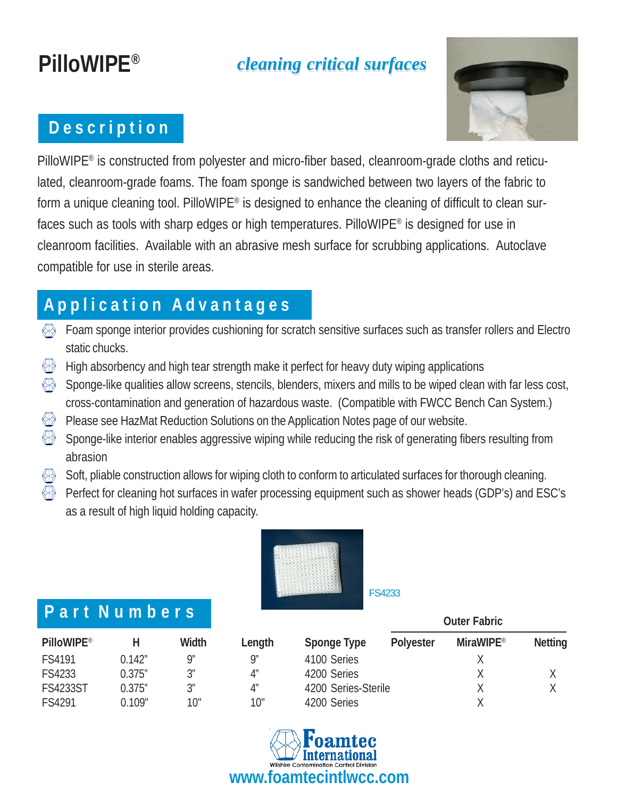# **PilloWIPE®**

## *cleaning critical surfaces cleaning critical surfaces*

### **D e s c r i p t i o n**



PilloWIPE® is constructed from polyester and micro-fiber based, cleanroom-grade cloths and reticulated, cleanroom-grade foams. The foam sponge is sandwiched between two layers of the fabric to form a unique cleaning tool. PilloWIPE® is designed to enhance the cleaning of difficult to clean surfaces such as tools with sharp edges or high temperatures. PilloWIPE® is designed for use in cleanroom facilities. Available with an abrasive mesh surface for scrubbing applications. Autoclave compatible for use in sterile areas.

## **A p p l i c a t i o n A d v a n t a g e s**

- Foam sponge interior provides cushioning for scratch sensitive surfaces such as transfer rollers and Electro static chucks.
- High absorbency and high tear strength make it perfect for heavy duty wiping applications
- K Sponge-like qualities allow screens, stencils, blenders, mixers and mills to be wiped clean with far less cost, cross-contamination and generation of hazardous waste. (Compatible with FWCC Bench Can System.)
- $\bigoplus$ Please see HazMat Reduction Solutions on the Application Notes page of our website.
- ↔ Sponge-like interior enables aggressive wiping while reducing the risk of generating fibers resulting from abrasion
- Soft, pliable construction allows for wiping cloth to conform to articulated surfaces for thorough cleaning.
- Perfect for cleaning hot surfaces in wafer processing equipment such as shower heads (GDP's) and ESC's as a result of high liquid holding capacity.



#### **P a r t N u m b e r s**

| I GILIN GIII DU J |         |                |        |                     | <b>Outer Fabric</b> |                  |                |
|-------------------|---------|----------------|--------|---------------------|---------------------|------------------|----------------|
| <b>PilloWIPE®</b> |         | Width          | Length | Sponge Type         | <b>Polyester</b>    | <b>MiraWIPE®</b> | <b>Netting</b> |
| FS4191            | 0.142″  | Qʻ             | Q"     | 4100 Series         |                     |                  |                |
| FS4233            | 0.375'' | 2 <sup>n</sup> | 4"     | 4200 Series         |                     |                  |                |
| <b>FS4233ST</b>   | 0.375'' | 2 <sup>n</sup> | 4″     | 4200 Series-Sterile |                     |                  |                |
| FS4291            | 0.109"  | 10"            | 10"    | 4200 Series         |                     |                  |                |